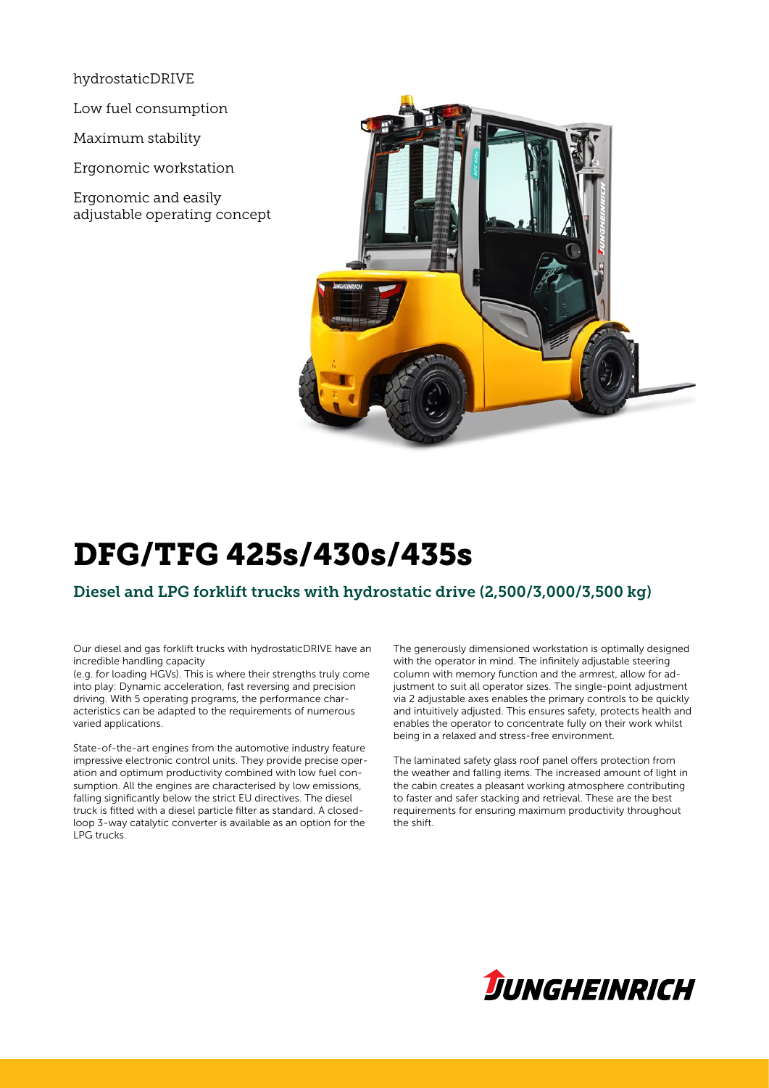hydrostaticDRIVE

Low fuel consumption

Maximum stability

Ergonomic workstation

Ergonomic and easily adjustable operating concept



# DFG/TFG 425s/430s/435s

### Diesel and LPG forklift trucks with hydrostatic drive (2,500/3,000/3,500 kg)

Our diesel and gas forklift trucks with hydrostaticDRIVE have an incredible handling capacity

(e.g. for loading HGVs). This is where their strengths truly come into play: Dynamic acceleration, fast reversing and precision driving. With 5 operating programs, the performance characteristics can be adapted to the requirements of numerous varied applications.

State-of-the-art engines from the automotive industry feature impressive electronic control units. They provide precise operation and optimum productivity combined with low fuel consumption. All the engines are characterised by low emissions, falling significantly below the strict EU directives. The diesel truck is fitted with a diesel particle filter as standard. A closedloop 3-way catalytic converter is available as an option for the LPG trucks.

The generously dimensioned workstation is optimally designed with the operator in mind. The infinitely adjustable steering column with memory function and the armrest, allow for adjustment to suit all operator sizes. The single-point adjustment via 2 adjustable axes enables the primary controls to be quickly and intuitively adjusted. This ensures safety, protects health and enables the operator to concentrate fully on their work whilst being in a relaxed and stress-free environment.

The laminated safety glass roof panel offers protection from the weather and falling items. The increased amount of light in the cabin creates a pleasant working atmosphere contributing to faster and safer stacking and retrieval. These are the best requirements for ensuring maximum productivity throughout the shift.

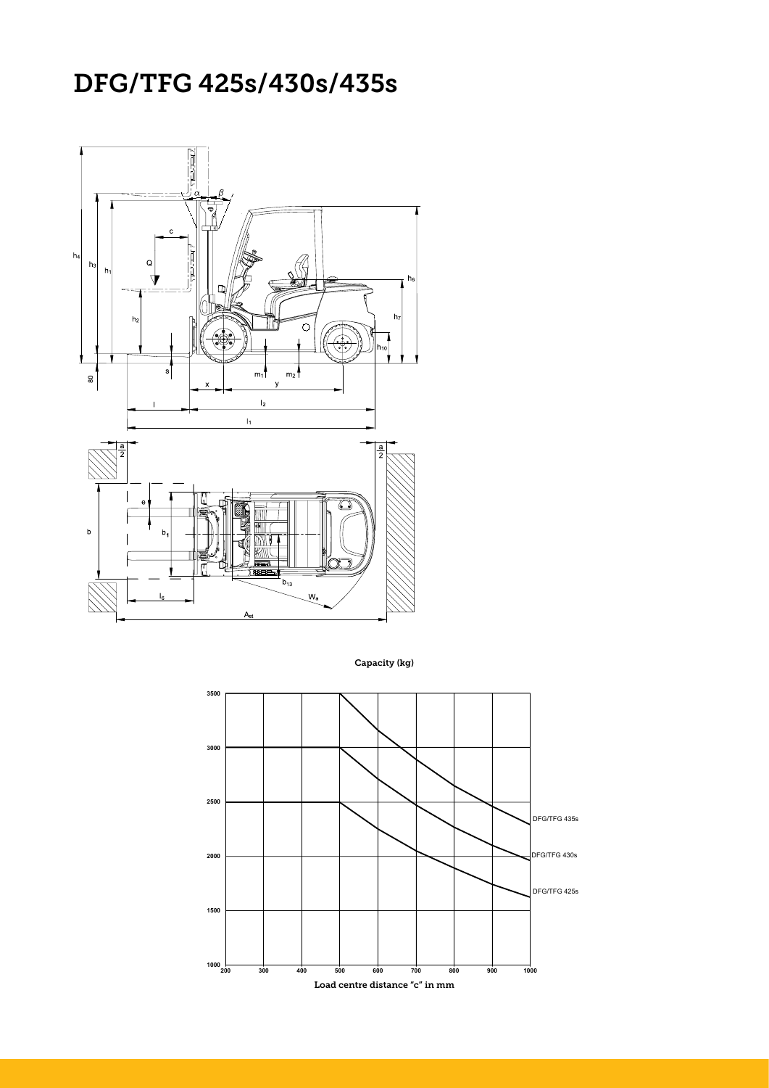### DFG/TFG 425s/430s/435s



Capacity (kg)

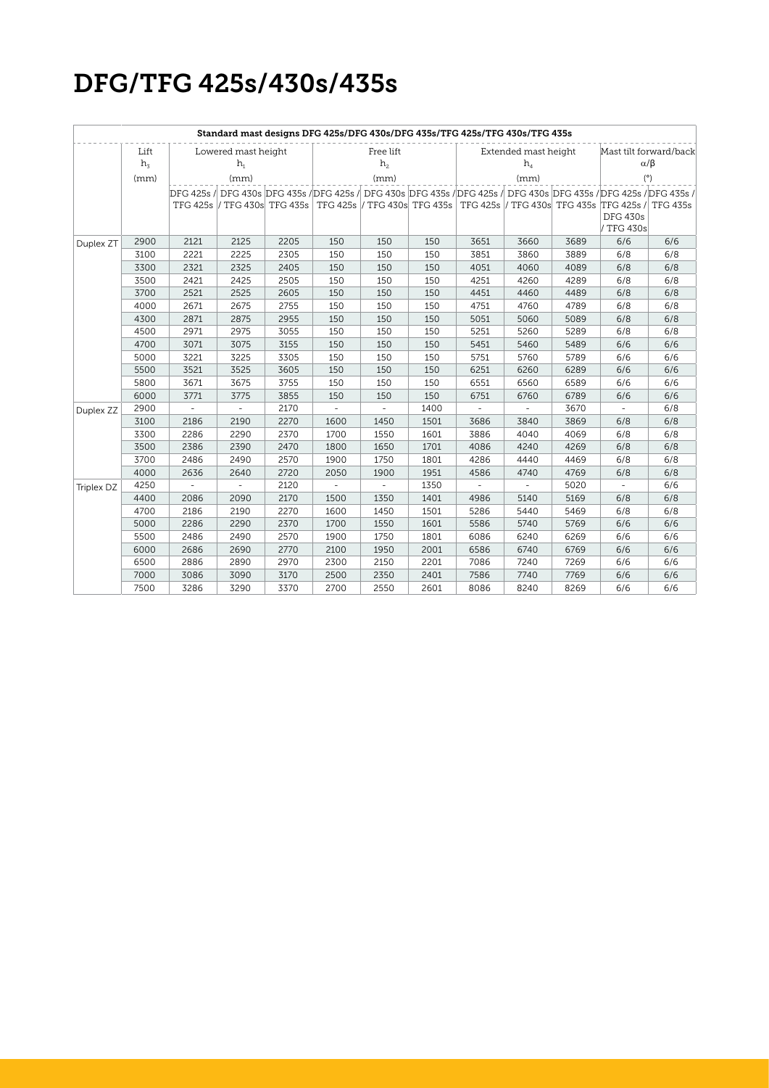## DFG/TFG 425s/430s/435s

| Standard mast designs DFG 425s/DFG 430s/DFG 435s/TFG 425s/TFG 430s/TFG 435s |            |                     |           |      |                |           |      |          |                            |                |                                                                                                                    |                        |  |
|-----------------------------------------------------------------------------|------------|---------------------|-----------|------|----------------|-----------|------|----------|----------------------------|----------------|--------------------------------------------------------------------------------------------------------------------|------------------------|--|
|                                                                             | Lift       | Lowered mast height |           |      |                | Free lift |      |          | Extended mast height       |                |                                                                                                                    | Mast tilt forward/back |  |
|                                                                             | $h_{\tau}$ |                     | $h_{1}$   |      | h <sub>2</sub> |           |      |          | $h_{\scriptscriptstyle A}$ | $\alpha/\beta$ |                                                                                                                    |                        |  |
|                                                                             | (mm)       |                     | (mm)      |      | (mm)           |           |      | (mm)     |                            |                | (°)                                                                                                                |                        |  |
|                                                                             |            |                     |           |      |                |           |      |          |                            |                | DFG 425s / DFG 430s DFG 435s / DFG 425s / DFG 430s DFG 435s / DFG 425s / DFG 430s DFG 435s / DFG 425s / DFG 435s / |                        |  |
|                                                                             |            |                     |           |      |                |           |      |          |                            |                | TFG 425s  / TFG 430s TFG 435s   TFG 425s  / TFG 430s TFG 435s   TFG 425s  / TFG 430s TFG 435s  TFG 425s /          | TFG 435s               |  |
|                                                                             |            |                     |           |      |                |           |      |          |                            |                | <b>DFG 430s</b>                                                                                                    |                        |  |
|                                                                             |            |                     |           |      |                |           |      |          |                            |                | / TFG 430s                                                                                                         |                        |  |
| Duplex ZT                                                                   | 2900       | 2121                | 2125      | 2205 | 150            | 150       | 150  | 3651     | 3660                       | 3689           | 6/6                                                                                                                | 6/6                    |  |
|                                                                             | 3100       | 2221                | 2225      | 2305 | 150            | 150       | 150  | 3851     | 3860                       | 3889           | 6/8                                                                                                                | 6/8                    |  |
|                                                                             | 3300       | 2321                | 2325      | 2405 | 150            | 150       | 150  | 4051     | 4060                       | 4089           | 6/8                                                                                                                | 6/8                    |  |
|                                                                             | 3500       | 2421                | 2425      | 2505 | 150            | 150       | 150  | 4251     | 4260                       | 4289           | 6/8                                                                                                                | 6/8                    |  |
|                                                                             | 3700       | 2521                | 2525      | 2605 | 150            | 150       | 150  | 4451     | 4460                       | 4489           | 6/8                                                                                                                | 6/8                    |  |
|                                                                             | 4000       | 2671                | 2675      | 2755 | 150            | 150       | 150  | 4751     | 4760                       | 4789           | 6/8                                                                                                                | 6/8                    |  |
|                                                                             | 4300       | 2871                | 2875      | 2955 | 150            | 150       | 150  | 5051     | 5060                       | 5089           | 6/8                                                                                                                | 6/8                    |  |
|                                                                             | 4500       | 2971                | 2975      | 3055 | 150            | 150       | 150  | 5251     | 5260                       | 5289           | 6/8                                                                                                                | 6/8                    |  |
|                                                                             | 4700       | 3071                | 3075      | 3155 | 150            | 150       | 150  | 5451     | 5460                       | 5489           | 6/6                                                                                                                | 6/6                    |  |
|                                                                             | 5000       | 3221                | 3225      | 3305 | 150            | 150       | 150  | 5751     | 5760                       | 5789           | 6/6                                                                                                                | 6/6                    |  |
|                                                                             | 5500       | 3521                | 3525      | 3605 | 150            | 150       | 150  | 6251     | 6260                       | 6289           | 6/6                                                                                                                | 6/6                    |  |
|                                                                             | 5800       | 3671                | 3675      | 3755 | 150            | 150       | 150  | 6551     | 6560                       | 6589           | 6/6                                                                                                                | 6/6                    |  |
|                                                                             | 6000       | 3771                | 3775      | 3855 | 150            | 150       | 150  | 6751     | 6760                       | 6789           | 6/6                                                                                                                | 6/6                    |  |
| Duplex ZZ                                                                   | 2900       | $\bar{a}$           | ÷         | 2170 | $\bar{a}$      | $\omega$  | 1400 | $\omega$ | $\omega$                   | 3670           | $\omega$                                                                                                           | 6/8                    |  |
|                                                                             | 3100       | 2186                | 2190      | 2270 | 1600           | 1450      | 1501 | 3686     | 3840                       | 3869           | 6/8                                                                                                                | 6/8                    |  |
|                                                                             | 3300       | 2286                | 2290      | 2370 | 1700           | 1550      | 1601 | 3886     | 4040                       | 4069           | 6/8                                                                                                                | 6/8                    |  |
|                                                                             | 3500       | 2386                | 2390      | 2470 | 1800           | 1650      | 1701 | 4086     | 4240                       | 4269           | 6/8                                                                                                                | 6/8                    |  |
|                                                                             | 3700       | 2486                | 2490      | 2570 | 1900           | 1750      | 1801 | 4286     | 4440                       | 4469           | 6/8                                                                                                                | 6/8                    |  |
|                                                                             | 4000       | 2636                | 2640      | 2720 | 2050           | 1900      | 1951 | 4586     | 4740                       | 4769           | 6/8                                                                                                                | 6/8                    |  |
| Triplex DZ                                                                  | 4250       |                     | $\bar{a}$ | 2120 |                | ÷,        | 1350 |          | $\overline{\phantom{a}}$   | 5020           | $\omega$                                                                                                           | 6/6                    |  |
|                                                                             | 4400       | 2086                | 2090      | 2170 | 1500           | 1350      | 1401 | 4986     | 5140                       | 5169           | 6/8                                                                                                                | 6/8                    |  |
|                                                                             | 4700       | 2186                | 2190      | 2270 | 1600           | 1450      | 1501 | 5286     | 5440                       | 5469           | 6/8                                                                                                                | 6/8                    |  |
|                                                                             | 5000       | 2286                | 2290      | 2370 | 1700           | 1550      | 1601 | 5586     | 5740                       | 5769           | 6/6                                                                                                                | 6/6                    |  |
|                                                                             | 5500       | 2486                | 2490      | 2570 | 1900           | 1750      | 1801 | 6086     | 6240                       | 6269           | 6/6                                                                                                                | 6/6                    |  |
|                                                                             | 6000       | 2686                | 2690      | 2770 | 2100           | 1950      | 2001 | 6586     | 6740                       | 6769           | 6/6                                                                                                                | 6/6                    |  |
|                                                                             | 6500       | 2886                | 2890      | 2970 | 2300           | 2150      | 2201 | 7086     | 7240                       | 7269           | 6/6                                                                                                                | 6/6                    |  |
|                                                                             | 7000       | 3086                | 3090      | 3170 | 2500           | 2350      | 2401 | 7586     | 7740                       | 7769           | 6/6                                                                                                                | 6/6                    |  |
|                                                                             | 7500       | 3286                | 3290      | 3370 | 2700           | 2550      | 2601 | 8086     | 8240                       | 8269           | 6/6                                                                                                                | 6/6                    |  |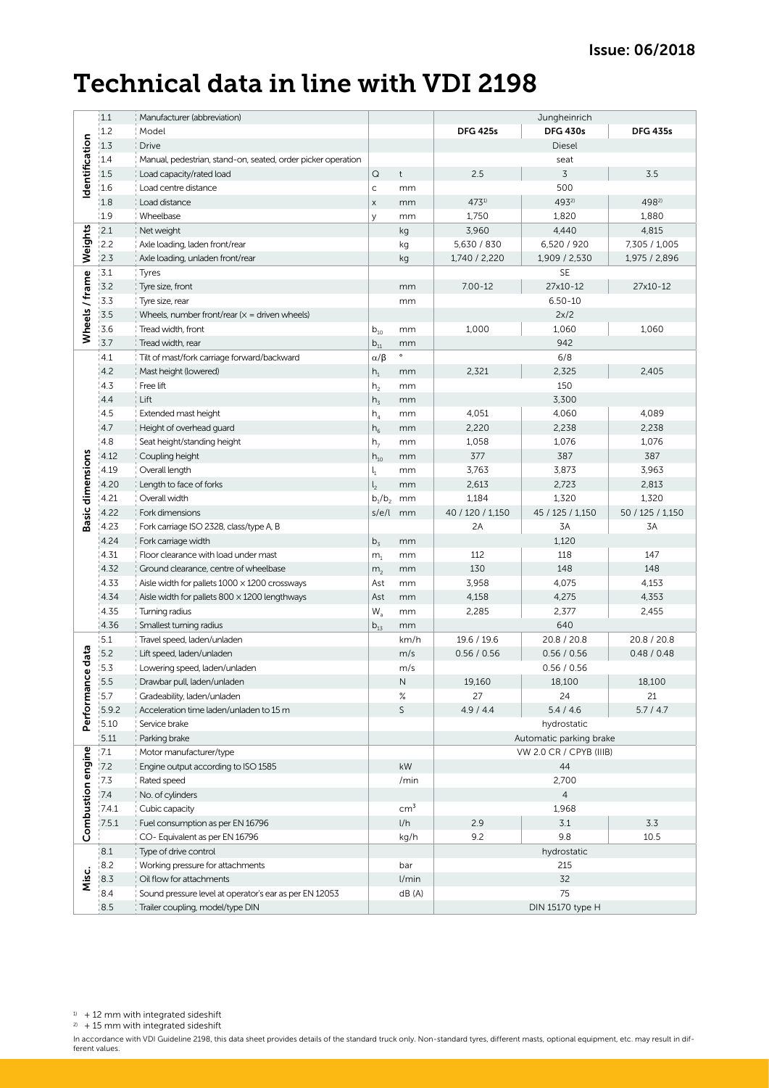### Technical data in line with VDI 2198

|                         | 1.1   | Manufacturer (abbreviation)                                  |                            |                        |                                                    | Jungheinrich     |                  |  |  |
|-------------------------|-------|--------------------------------------------------------------|----------------------------|------------------------|----------------------------------------------------|------------------|------------------|--|--|
|                         | 1.2   | Model                                                        |                            |                        | <b>DFG 425s</b>                                    | <b>DFG 430s</b>  | <b>DFG 435s</b>  |  |  |
|                         | 1.3   | <b>Drive</b>                                                 |                            |                        | Diesel                                             |                  |                  |  |  |
|                         | 1.4   | Manual, pedestrian, stand-on, seated, order picker operation |                            |                        |                                                    | seat             |                  |  |  |
| Identification          | 1.5   | Load capacity/rated load                                     | $\mathsf Q$                | $\mathfrak{t}$         | 2.5                                                | 3                | 3.5              |  |  |
|                         | 1.6   | Load centre distance                                         | $\mathsf{C}$               | mm                     |                                                    | 500              |                  |  |  |
|                         | 1.8   | Load distance                                                | $\mathsf X$                | mm                     | 4731)                                              | 4932)            | 4982)            |  |  |
|                         | 1.9   | Wheelbase                                                    | У                          | mm                     | 1,750                                              | 1,820            | 1,880            |  |  |
| Weights                 | 2.1   | Net weight                                                   |                            | kg                     | 3,960                                              | 4,440            | 4,815            |  |  |
|                         | 12.2  | Axle loading, laden front/rear                               |                            | kg                     | 5,630 / 830                                        | 6,520 / 920      | 7,305 / 1,005    |  |  |
|                         | 2.3   | Axle loading, unladen front/rear                             |                            | kg                     | 1,740 / 2,220                                      | 1,909 / 2,530    | 1,975 / 2,896    |  |  |
|                         | 3.1   | Tyres                                                        |                            |                        |                                                    | <b>SE</b>        |                  |  |  |
| Wheels / frame          | 3.2   | Tyre size, front                                             |                            | mm                     | $7.00 - 12$                                        | 27x10-12         | 27x10-12         |  |  |
|                         | 3.3   | Tyre size, rear                                              |                            | mm                     |                                                    | $6.50 - 10$      |                  |  |  |
|                         | 3.5   | Wheels, number front/rear $(x =$ driven wheels)              |                            |                        | 2x/2                                               |                  |                  |  |  |
|                         | 3.6   | Tread width, front                                           |                            | mm                     | 1,000                                              | 1,060<br>1,060   |                  |  |  |
|                         | 3.7   | Tread width, rear                                            | $b_{10}$<br>$b_{11}$       | mm                     |                                                    | 942              |                  |  |  |
|                         | 4.1   | Tilt of mast/fork carriage forward/backward                  | $\alpha/\beta$             | $\circ$                |                                                    | 6/8              |                  |  |  |
|                         | 4.2   | Mast height (lowered)                                        | $h_1$                      | mm                     | 2,321                                              | 2,325            | 2,405            |  |  |
|                         | 4.3   | Free lift                                                    | h <sub>2</sub>             | mm                     |                                                    | 150              |                  |  |  |
|                         | 4.4   | Lift                                                         | $h_3$                      | mm                     |                                                    | 3,300            |                  |  |  |
|                         | 4.5   | Extended mast height                                         | $h_4$                      | mm                     | 4,051                                              | 4,060            | 4,089            |  |  |
|                         | 4.7   | Height of overhead guard                                     | $h_6$                      | mm                     | 2,220                                              | 2,238            | 2,238            |  |  |
|                         | 4.8   | Seat height/standing height                                  | h <sub>7</sub>             | mm                     | 1,058                                              | 1,076            | 1,076            |  |  |
|                         | 4.12  | Coupling height                                              | $\mathsf{h}_{\mathsf{10}}$ | mm                     | 377                                                | 387              | 387              |  |  |
|                         | 4.19  | Overall length                                               | $\mathsf{l}_1$             | mm                     | 3,763                                              | 3,873            | 3,963            |  |  |
|                         | 4.20  | Length to face of forks                                      | l <sub>2</sub>             | mm                     | 2,613                                              | 2,723            | 2,813            |  |  |
| <b>Basic dimensions</b> | 4.21  | Overall width                                                | $b_1/b_2$                  | mm                     | 1,184                                              | 1,320            | 1,320            |  |  |
|                         | 4.22  | Fork dimensions                                              | s/e/l                      | mm                     | 40 / 120 / 1,150                                   | 45 / 125 / 1,150 | 50 / 125 / 1,150 |  |  |
|                         | 4.23  | Fork carriage ISO 2328, class/type A, B                      |                            |                        | 2A                                                 | 3A               | 3A               |  |  |
|                         | 4.24  | Fork carriage width                                          | $b_3$                      | mm                     |                                                    | 1,120            |                  |  |  |
|                         | 4.31  | Floor clearance with load under mast                         | m <sub>1</sub>             | mm                     | 112                                                | 118              | 147              |  |  |
|                         | 4.32  | Ground clearance, centre of wheelbase                        | m <sub>2</sub>             | mm                     | 130                                                | 148              | 148              |  |  |
|                         | 4.33  | Aisle width for pallets $1000 \times 1200$ crossways         | Ast                        | mm                     | 3,958                                              | 4,075            | 4,153            |  |  |
|                         | 4.34  | Aisle width for pallets $800 \times 1200$ lengthways         | Ast                        | mm                     | 4,158                                              | 4,275            | 4,353            |  |  |
|                         | 4.35  | Turning radius                                               | $\mathsf{W}_{\mathsf{a}}$  | mm                     | 2,285                                              | 2,377            | 2,455            |  |  |
|                         | 4.36  | Smallest turning radius                                      |                            | mm                     |                                                    | 640              |                  |  |  |
|                         | 5.1   | Travel speed, laden/unladen                                  | $b_{13}$                   | km/h                   | 19.6 / 19.6                                        | 20.8 / 20.8      | 20.8 / 20.8      |  |  |
|                         | 5.2   | Lift speed, laden/unladen                                    |                            | m/s                    | 0.56 / 0.56                                        | 0.56 / 0.56      | 0.48 / 0.48      |  |  |
| Performance data        | 15.3  | Lowering speed, laden/unladen                                |                            | m/s                    |                                                    | 0.56 / 0.56      |                  |  |  |
|                         | 5.5   | Drawbar pull, laden/unladen                                  |                            | N                      | 19,160                                             | 18,100           | 18,100           |  |  |
|                         | 15.7  | Gradeability, laden/unladen                                  |                            | $\%$                   | 27                                                 | 24               | 21               |  |  |
|                         |       |                                                              |                            | $\mathsf{S}$           |                                                    |                  |                  |  |  |
|                         | 5.9.2 | Acceleration time laden/unladen to 15 m                      |                            |                        | 4.9 / 4.4                                          | 5.4 / 4.6        | 5.7 / 4.7        |  |  |
|                         | 15.10 | Service brake                                                |                            |                        |                                                    | hydrostatic      |                  |  |  |
|                         | 5.11  | Parking brake                                                |                            |                        | Automatic parking brake<br>VW 2.0 CR / CPYB (IIIB) |                  |                  |  |  |
| Combustion engine       | 7.1   | Motor manufacturer/type                                      |                            |                        | 44                                                 |                  |                  |  |  |
|                         | 7.2   | Engine output according to ISO 1585                          |                            | $\mathsf{k}\mathsf{W}$ |                                                    |                  |                  |  |  |
|                         | 7.3   | Rated speed                                                  |                            | /min                   |                                                    | 2,700            |                  |  |  |
|                         | 7.4   | No. of cylinders                                             |                            |                        | $\overline{4}$                                     |                  |                  |  |  |
|                         | 7.4.1 | Cubic capacity                                               |                            | cm <sup>3</sup>        |                                                    | 1,968            |                  |  |  |
|                         | 7.5.1 | Fuel consumption as per EN 16796                             |                            | l/h                    | 2.9                                                | 3.1              | 3.3              |  |  |
|                         |       | CO-Equivalent as per EN 16796                                |                            | kg/h                   | 9.2                                                | 9.8              | 10.5             |  |  |
|                         | 8.1   | Type of drive control                                        |                            |                        | hydrostatic                                        |                  |                  |  |  |
|                         | 8.2   | Working pressure for attachments                             |                            | bar                    |                                                    | 215              |                  |  |  |
| Misc.                   | 8.3   | Oil flow for attachments                                     |                            | l/min                  |                                                    | 32               |                  |  |  |
|                         | 8.4   | Sound pressure level at operator's ear as per EN 12053       |                            | dB(A)                  |                                                    | 75               |                  |  |  |
|                         | 8.5   | Trailer coupling, model/type DIN                             |                            |                        | DIN 15170 type H                                   |                  |                  |  |  |

 $2) + 15$  mm with integrated sideshift

In accordance with VDI Guideline 2198, this data sheet provides details of the standard truck only. Non-standard tyres, different masts, optional equipment, etc. may result in dif-<br>ferent values.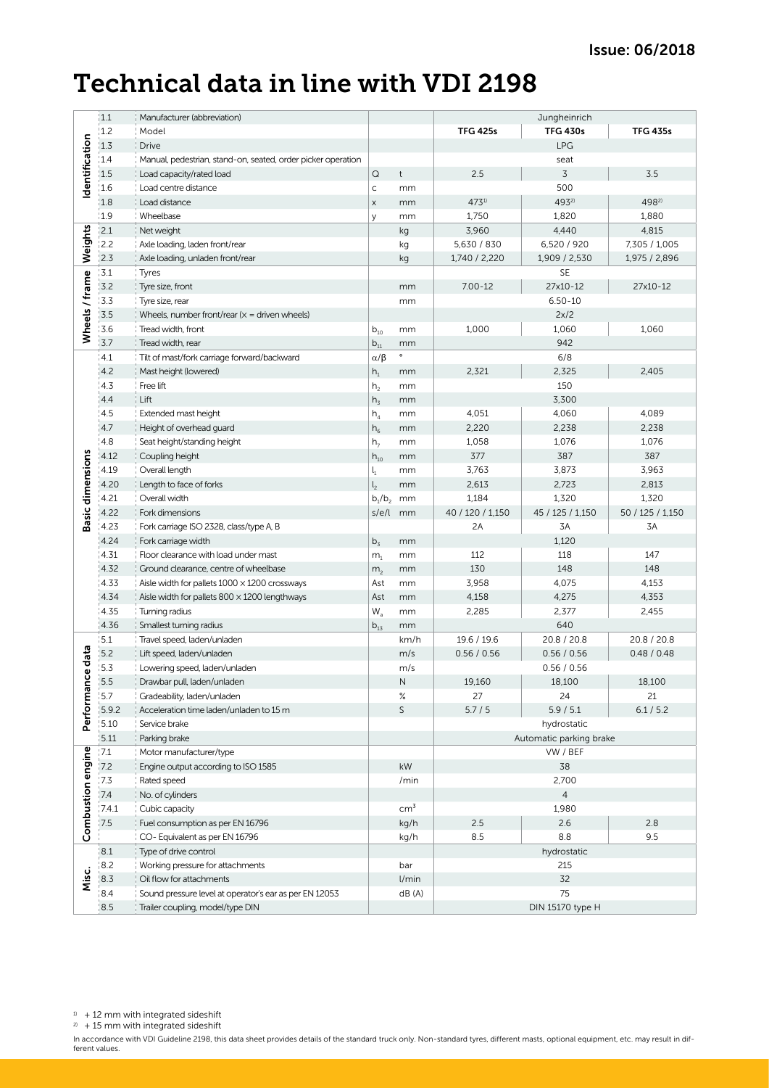### Technical data in line with VDI 2198

|                         | 1.1   | Manufacturer (abbreviation)                                  |                            |                        |                         | Jungheinrich     | <b>TFG 435s</b>  |  |  |
|-------------------------|-------|--------------------------------------------------------------|----------------------------|------------------------|-------------------------|------------------|------------------|--|--|
|                         | 1.2   | Model                                                        |                            |                        | <b>TFG 425s</b>         | <b>TFG 430s</b>  |                  |  |  |
| Identification          | 1.3   | <b>Drive</b>                                                 |                            |                        | LPG                     |                  |                  |  |  |
|                         | 1.4   | Manual, pedestrian, stand-on, seated, order picker operation |                            |                        |                         | seat             |                  |  |  |
|                         | 1.5   | Load capacity/rated load                                     | $\mathsf Q$                | $^\mathrm{t}$          | 2.5                     | 3                | 3.5              |  |  |
|                         | 1.6   | Load centre distance                                         | $\mathsf{C}$               | mm                     |                         | 500              |                  |  |  |
|                         | 1.8   | Load distance                                                | $\mathsf X$                | mm                     | 4731)                   | 4932)            | 4982)            |  |  |
|                         | 1.9   | Wheelbase                                                    | У                          | mm                     | 1,750                   | 1,820            | 1,880            |  |  |
|                         | 2.1   | Net weight                                                   |                            | kg                     | 3,960                   | 4,440            | 4,815            |  |  |
| Weights                 | 12.2  | Axle loading, laden front/rear                               |                            | kg                     | 5,630 / 830             | 6,520 / 920      | 7,305 / 1,005    |  |  |
|                         | 2.3   | Axle loading, unladen front/rear                             |                            | kg                     | 1,740 / 2,220           | 1,909 / 2,530    | 1,975 / 2,896    |  |  |
|                         | 3.1   | Tyres                                                        |                            |                        |                         | <b>SE</b>        |                  |  |  |
| Wheels / frame          | 3.2   | Tyre size, front                                             |                            | mm                     | $7.00 - 12$             | 27x10-12         | 27x10-12         |  |  |
|                         | 3.3   | Tyre size, rear                                              |                            | mm                     |                         | $6.50 - 10$      |                  |  |  |
|                         | 3.5   | Wheels, number front/rear $(x =$ driven wheels)              |                            |                        | 2x/2                    |                  |                  |  |  |
|                         | 3.6   | Tread width, front                                           |                            | mm                     | 1,000                   | 1,060            | 1,060            |  |  |
|                         | 3.7   | Tread width, rear                                            | $b_{10}$<br>$b_{11}$       | mm                     |                         | 942              |                  |  |  |
|                         | 4.1   | Tilt of mast/fork carriage forward/backward                  | $\alpha/\beta$             | $\circ$                |                         | 6/8              |                  |  |  |
|                         | 4.2   | Mast height (lowered)                                        | $h_1$                      | mm                     | 2,321                   | 2,325            | 2,405            |  |  |
|                         | 4.3   | Free lift                                                    | h <sub>2</sub>             | mm                     |                         | 150              |                  |  |  |
|                         | 4.4   | Lift                                                         | $h_3$                      | mm                     |                         | 3,300            |                  |  |  |
|                         | 4.5   | Extended mast height                                         | $h_4$                      | mm                     | 4,051                   | 4,060            | 4,089            |  |  |
|                         | 4.7   | Height of overhead guard                                     | $h_6$                      | mm                     | 2,220                   | 2,238            | 2,238            |  |  |
|                         | 4.8   | Seat height/standing height                                  | h <sub>7</sub>             | mm                     | 1,058                   | 1,076            | 1,076            |  |  |
|                         | 4.12  | Coupling height                                              | $\mathsf{h}_{\mathsf{10}}$ | mm                     | 377                     | 387              | 387              |  |  |
|                         | 4.19  | Overall length                                               | $\mathsf{l}_1$             | mm                     | 3,763                   | 3,873            | 3,963            |  |  |
| <b>Basic dimensions</b> | 4.20  | Length to face of forks                                      | l <sub>2</sub>             | mm                     | 2,613                   | 2,723            | 2,813            |  |  |
|                         | 4.21  | Overall width                                                | $b_1/b_2$                  | mm                     | 1,184                   | 1,320            | 1,320            |  |  |
|                         | 4.22  | Fork dimensions                                              | s/e/l                      | mm                     | 40 / 120 / 1,150        | 45 / 125 / 1,150 | 50 / 125 / 1,150 |  |  |
|                         | 4.23  | Fork carriage ISO 2328, class/type A, B                      |                            |                        | 2A                      | 3A               | 3A               |  |  |
|                         | 4.24  | Fork carriage width                                          | $b_3$                      | mm                     |                         | 1,120            |                  |  |  |
|                         | 4.31  | Floor clearance with load under mast                         |                            | mm                     | 112                     | 118              | 147              |  |  |
|                         | 4.32  | Ground clearance, centre of wheelbase                        | m <sub>1</sub>             | mm                     | 130                     | 148              | 148              |  |  |
|                         | 4.33  | Aisle width for pallets $1000 \times 1200$ crossways         | m <sub>2</sub><br>Ast      | mm                     | 3,958                   | 4,075            | 4,153            |  |  |
|                         |       |                                                              |                            |                        |                         |                  |                  |  |  |
|                         | 4.34  | Aisle width for pallets $800 \times 1200$ lengthways         | Ast                        | mm                     | 4,158                   | 4,275            | 4,353            |  |  |
|                         | 4.35  | Turning radius                                               | $\mathsf{W}_{\mathsf{a}}$  | mm                     | 2,285                   | 2,377            | 2,455            |  |  |
|                         | 4.36  | Smallest turning radius                                      | $b_{13}$                   | mm                     |                         | 640              |                  |  |  |
|                         | 5.1   | Travel speed, laden/unladen                                  |                            | km/h                   | 19.6 / 19.6             | 20.8 / 20.8      | 20.8 / 20.8      |  |  |
|                         | 5.2   | Lift speed, laden/unladen                                    |                            | m/s                    | 0.56 / 0.56             | 0.56 / 0.56      | 0.48 / 0.48      |  |  |
| Performance data        | 15.3  | Lowering speed, laden/unladen                                |                            | m/s                    |                         | 0.56 / 0.56      |                  |  |  |
|                         | 5.5   | Drawbar pull, laden/unladen                                  |                            | N                      | 19,160                  | 18,100           | 18,100           |  |  |
|                         | 15.7  | Gradeability, laden/unladen                                  |                            | $\%$                   | 27                      | 24               | 21               |  |  |
|                         | 5.9.2 | Acceleration time laden/unladen to 15 m                      |                            | $\mathsf{S}$           | $5.7/5$                 | 5.9 / 5.1        | 6.1 / 5.2        |  |  |
|                         | 15.10 | Service brake                                                |                            |                        | hydrostatic             |                  |                  |  |  |
|                         | 5.11  | Parking brake                                                |                            |                        | Automatic parking brake |                  |                  |  |  |
| Combustion engine       | 7.1   | Motor manufacturer/type                                      |                            |                        | VW / BEF                |                  |                  |  |  |
|                         | 7.2   | Engine output according to ISO 1585                          |                            | $\mathsf{k}\mathsf{W}$ | 38                      |                  |                  |  |  |
|                         | 7.3   | Rated speed                                                  |                            | /min                   | 2,700                   |                  |                  |  |  |
|                         | 7.4   | No. of cylinders                                             |                            |                        | $\overline{4}$          |                  |                  |  |  |
|                         | 7.4.1 | Cubic capacity                                               |                            | cm <sup>3</sup>        |                         | 1,980            |                  |  |  |
|                         | 7.5   | Fuel consumption as per EN 16796                             |                            | kg/h                   | 2.5                     | 2.6              | 2.8              |  |  |
|                         |       | CO-Equivalent as per EN 16796                                |                            | kg/h                   | 8.5                     | 8.8              | 9.5              |  |  |
|                         | 8.1   | Type of drive control                                        |                            |                        | hydrostatic             |                  |                  |  |  |
|                         | 8.2   | Working pressure for attachments                             |                            | bar                    | 215                     |                  |                  |  |  |
| Misc.                   | 8.3   | Oil flow for attachments                                     |                            | l/min                  |                         | 32               |                  |  |  |
|                         | 8.4   | Sound pressure level at operator's ear as per EN 12053       |                            | dB(A)                  |                         | 75               |                  |  |  |
|                         | 8.5   | Trailer coupling, model/type DIN                             |                            |                        | DIN 15170 type H        |                  |                  |  |  |

 $2) + 15$  mm with integrated sideshift

In accordance with VDI Guideline 2198, this data sheet provides details of the standard truck only. Non-standard tyres, different masts, optional equipment, etc. may result in dif-<br>ferent values.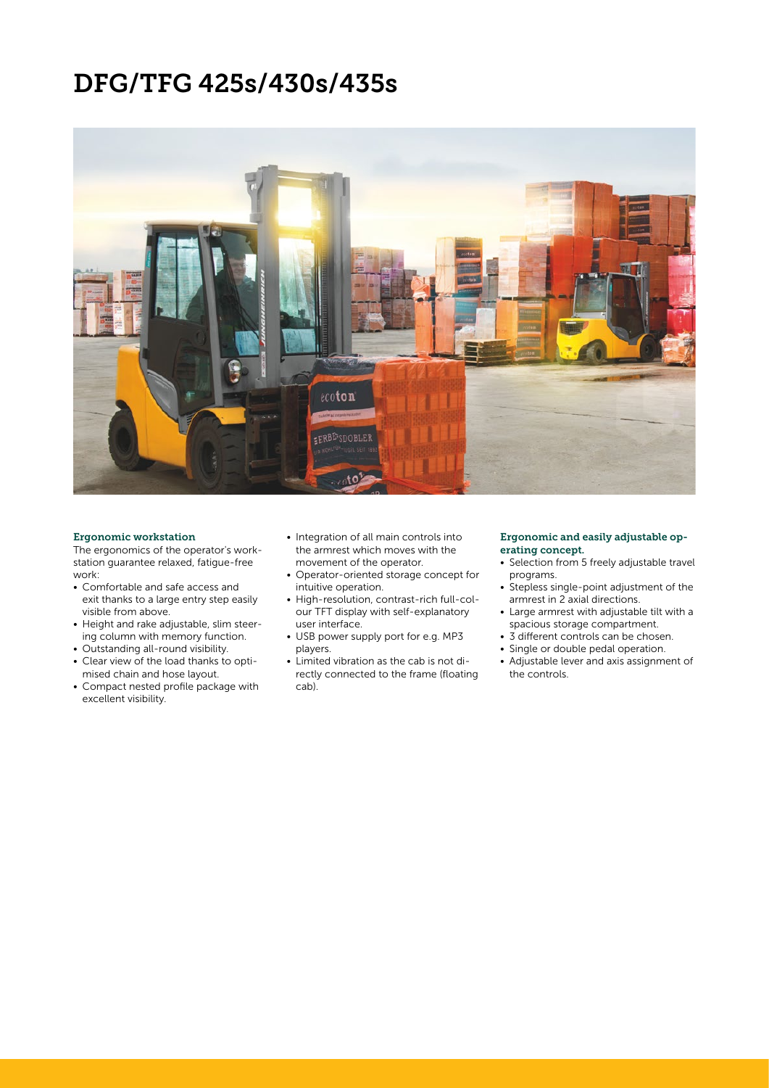### DFG/TFG 425s/430s/435s



#### Ergonomic workstation

The ergonomics of the operator's workstation guarantee relaxed, fatigue-free work:

- Comfortable and safe access and exit thanks to a large entry step easily visible from above.
- Height and rake adjustable, slim steering column with memory function.
- Outstanding all-round visibility.
- Clear view of the load thanks to optimised chain and hose layout.
- Compact nested profile package with excellent visibility.
- Integration of all main controls into the armrest which moves with the movement of the operator.
- Operator-oriented storage concept for intuitive operation.
- High-resolution, contrast-rich full-colour TFT display with self-explanatory user interface.
- USB power supply port for e.g. MP3 players.
- Limited vibration as the cab is not directly connected to the frame (floating cab).

#### Ergonomic and easily adjustable operating concept.

- Selection from 5 freely adjustable travel programs.
- Stepless single-point adjustment of the armrest in 2 axial directions.
- Large armrest with adjustable tilt with a spacious storage compartment.
- 3 different controls can be chosen.
- Single or double pedal operation.
- Adjustable lever and axis assignment of the controls.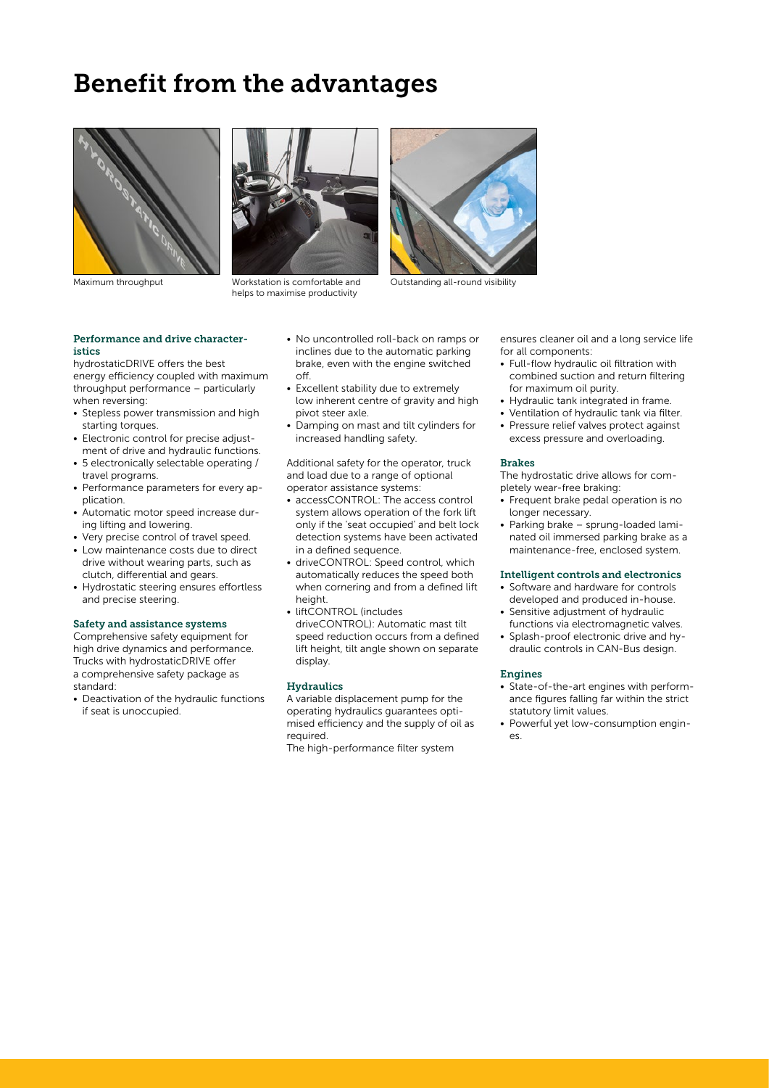### Benefit from the advantages





Maximum throughput Workstation is comfortable and helps to maximise productivity



Outstanding all-round visibility

Performance and drive characteristics

hydrostaticDRIVE offers the best energy efficiency coupled with maximum throughput performance – particularly when reversing:

- Stepless power transmission and high starting torques.
- Electronic control for precise adjustment of drive and hydraulic functions.
- 5 electronically selectable operating / travel programs.
- Performance parameters for every application.
- Automatic motor speed increase during lifting and lowering.
- Very precise control of travel speed.
- Low maintenance costs due to direct drive without wearing parts, such as clutch, differential and gears.
- Hydrostatic steering ensures effortless and precise steering.

#### Safety and assistance systems

Comprehensive safety equipment for high drive dynamics and performance. Trucks with hydrostaticDRIVE offer a comprehensive safety package as standard:

• Deactivation of the hydraulic functions if seat is unoccupied.

- No uncontrolled roll-back on ramps or inclines due to the automatic parking brake, even with the engine switched off.
- Excellent stability due to extremely low inherent centre of gravity and high pivot steer axle.
- Damping on mast and tilt cylinders for increased handling safety.

Additional safety for the operator, truck and load due to a range of optional operator assistance systems:

- accessCONTROL: The access control system allows operation of the fork lift only if the 'seat occupied' and belt lock detection systems have been activated in a defined sequence.
- driveCONTROL: Speed control, which automatically reduces the speed both when cornering and from a defined lift height.
- liftCONTROL (includes driveCONTROL): Automatic mast tilt speed reduction occurs from a defined lift height, tilt angle shown on separate display.

#### **Hydraulics**

A variable displacement pump for the operating hydraulics guarantees optimised efficiency and the supply of oil as required.

The high-performance filter system

ensures cleaner oil and a long service life for all components:

- Full-flow hydraulic oil filtration with combined suction and return filtering for maximum oil purity.
- Hydraulic tank integrated in frame.
- Ventilation of hydraulic tank via filter.
- Pressure relief valves protect against excess pressure and overloading.

#### Brakes

The hydrostatic drive allows for completely wear-free braking:

- Frequent brake pedal operation is no longer necessary.
- Parking brake sprung-loaded laminated oil immersed parking brake as a maintenance-free, enclosed system.

#### Intelligent controls and electronics

- Software and hardware for controls developed and produced in-house.
- Sensitive adjustment of hydraulic functions via electromagnetic valves.
- Splash-proof electronic drive and hydraulic controls in CAN-Bus design.

#### Engines

- State-of-the-art engines with performance figures falling far within the strict statutory limit values.
- Powerful yet low-consumption engines.